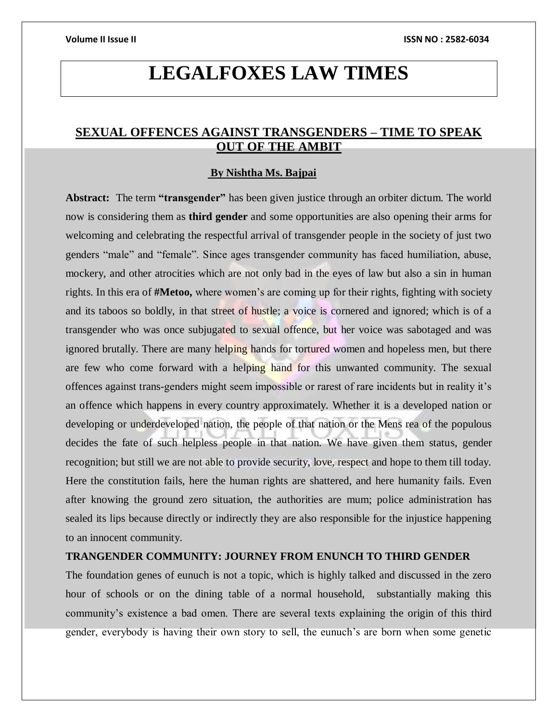# **LEGALFOXES LAW TIMES**

## **SEXUAL OFFENCES AGAINST TRANSGENDERS – TIME TO SPEAK OUT OF THE AMBIT**

### **By Nishtha Ms. Bajpai**

**Abstract:** The term **"transgender"** has been given justice through an orbiter dictum. The world now is considering them as **third gender** and some opportunities are also opening their arms for welcoming and celebrating the respectful arrival of transgender people in the society of just two genders "male" and "female". Since ages transgender community has faced humiliation, abuse, mockery, and other atrocities which are not only bad in the eyes of law but also a sin in human rights. In this era of **#Metoo,** where women's are coming up for their rights, fighting with society and its taboos so boldly, in that street of hustle; a voice is cornered and ignored; which is of a transgender who was once subjugated to sexual offence, but her voice was sabotaged and was ignored brutally. There are many helping hands for tortured women and hopeless men, but there are few who come forward with a helping hand for this unwanted community. The sexual offences against trans-genders might seem impossible or rarest of rare incidents but in reality it's an offence which happens in every country approximately. Whether it is a developed nation or developing or underdeveloped nation, the people of that nation or the Mens rea of the populous decides the fate of such helpless people in that nation. We have given them status, gender recognition; but still we are not able to provide security, love, respect and hope to them till today. Here the constitution fails, here the human rights are shattered, and here humanity fails. Even after knowing the ground zero situation, the authorities are mum; police administration has sealed its lips because directly or indirectly they are also responsible for the injustice happening to an innocent community.

## **TRANGENDER COMMUNITY: JOURNEY FROM ENUNCH TO THIRD GENDER**

The foundation genes of eunuch is not a topic, which is highly talked and discussed in the zero hour of schools or on the dining table of a normal household, substantially making this community's existence a bad omen. There are several texts explaining the origin of this third gender, everybody is having their own story to sell, the eunuch's are born when some genetic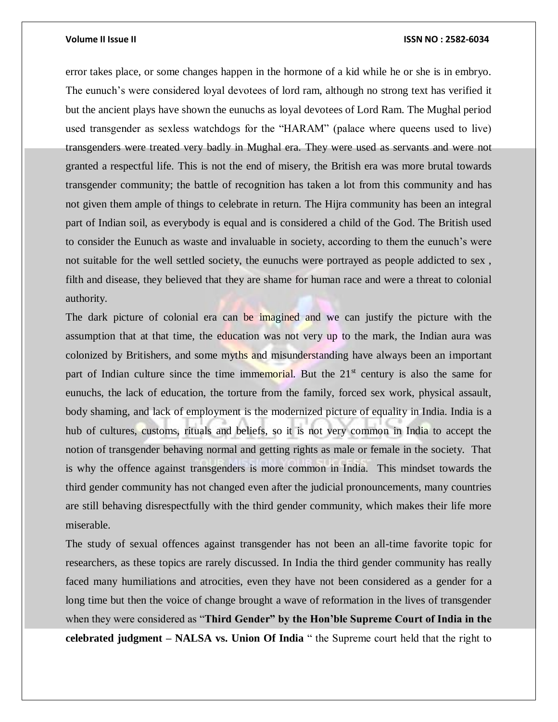error takes place, or some changes happen in the hormone of a kid while he or she is in embryo. The eunuch's were considered loyal devotees of lord ram, although no strong text has verified it but the ancient plays have shown the eunuchs as loyal devotees of Lord Ram. The Mughal period used transgender as sexless watchdogs for the "HARAM" (palace where queens used to live) transgenders were treated very badly in Mughal era. They were used as servants and were not granted a respectful life. This is not the end of misery, the British era was more brutal towards transgender community; the battle of recognition has taken a lot from this community and has not given them ample of things to celebrate in return. The Hijra community has been an integral part of Indian soil, as everybody is equal and is considered a child of the God. The British used to consider the Eunuch as waste and invaluable in society, according to them the eunuch's were not suitable for the well settled society, the eunuchs were portrayed as people addicted to sex , filth and disease, they believed that they are shame for human race and were a threat to colonial authority.

The dark picture of colonial era can be imagined and we can justify the picture with the assumption that at that time, the education was not very up to the mark, the Indian aura was colonized by Britishers, and some myths and misunderstanding have always been an important part of Indian culture since the time immemorial. But the  $21<sup>st</sup>$  century is also the same for eunuchs, the lack of education, the torture from the family, forced sex work, physical assault, body shaming, and lack of employment is the modernized picture of equality in India. India is a hub of cultures, customs, rituals and beliefs, so it is not very common in India to accept the notion of transgender behaving normal and getting rights as male or female in the society. That is why the offence against transgenders is more common in India. This mindset towards the third gender community has not changed even after the judicial pronouncements, many countries are still behaving disrespectfully with the third gender community, which makes their life more miserable.

The study of sexual offences against transgender has not been an all-time favorite topic for researchers, as these topics are rarely discussed. In India the third gender community has really faced many humiliations and atrocities, even they have not been considered as a gender for a long time but then the voice of change brought a wave of reformation in the lives of transgender when they were considered as "**Third Gender" by the Hon'ble Supreme Court of India in the celebrated judgment – NALSA vs. Union Of India** " the Supreme court held that the right to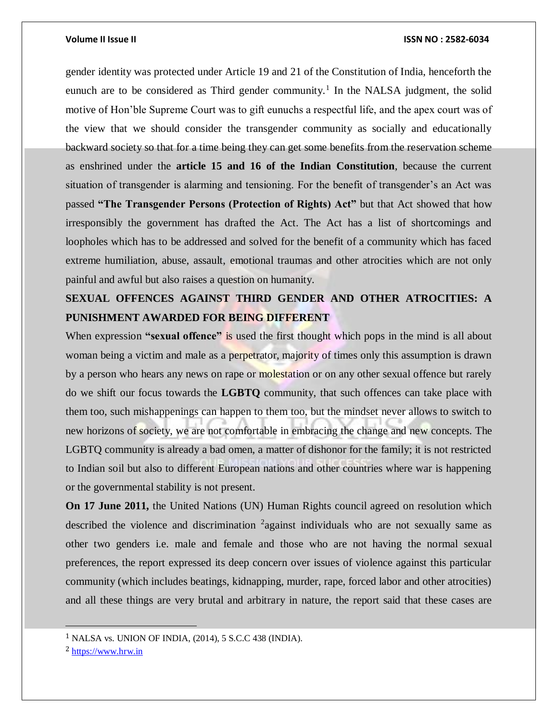gender identity was protected under Article 19 and 21 of the Constitution of India, henceforth the eunuch are to be considered as Third gender community.<sup>1</sup> In the NALSA judgment, the solid motive of Hon'ble Supreme Court was to gift eunuchs a respectful life, and the apex court was of the view that we should consider the transgender community as socially and educationally backward society so that for a time being they can get some benefits from the reservation scheme as enshrined under the **article 15 and 16 of the Indian Constitution**, because the current situation of transgender is alarming and tensioning. For the benefit of transgender's an Act was passed **"The Transgender Persons (Protection of Rights) Act"** but that Act showed that how irresponsibly the government has drafted the Act. The Act has a list of shortcomings and loopholes which has to be addressed and solved for the benefit of a community which has faced extreme humiliation, abuse, assault, emotional traumas and other atrocities which are not only painful and awful but also raises a question on humanity.

## **SEXUAL OFFENCES AGAINST THIRD GENDER AND OTHER ATROCITIES: A PUNISHMENT AWARDED FOR BEING DIFFERENT**

When expression **"sexual offence"** is used the first thought which pops in the mind is all about woman being a victim and male as a perpetrator, majority of times only this assumption is drawn by a person who hears any news on rape or molestation or on any other sexual offence but rarely do we shift our focus towards the **LGBTQ** community, that such offences can take place with them too, such mishappenings can happen to them too, but the mindset never allows to switch to new horizons of society, we are not comfortable in embracing the change and new concepts. The LGBTQ community is already a bad omen, a matter of dishonor for the family; it is not restricted to Indian soil but also to different European nations and other countries where war is happening or the governmental stability is not present.

**On 17 June 2011,** the United Nations (UN) Human Rights council agreed on resolution which described the violence and discrimination <sup>2</sup> against individuals who are not sexually same as other two genders i.e. male and female and those who are not having the normal sexual preferences, the report expressed its deep concern over issues of violence against this particular community (which includes beatings, kidnapping, murder, rape, forced labor and other atrocities) and all these things are very brutal and arbitrary in nature, the report said that these cases are

 $\overline{a}$ 

<sup>1</sup> NALSA vs. UNION OF INDIA, (2014), 5 S.C.C 438 (INDIA).

<sup>2</sup> [https://www.hrw.in](https://www.hrw.in/)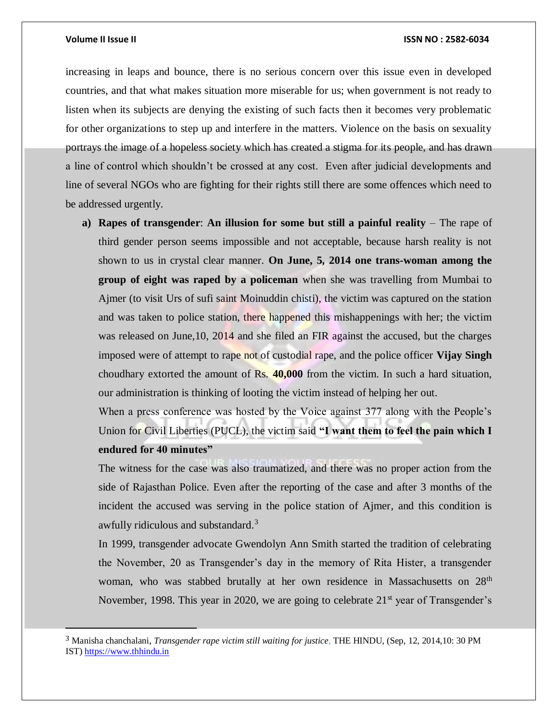#### **Volume II Issue II ISSN NO : 2582-6034**

increasing in leaps and bounce, there is no serious concern over this issue even in developed countries, and that what makes situation more miserable for us; when government is not ready to listen when its subjects are denying the existing of such facts then it becomes very problematic for other organizations to step up and interfere in the matters. Violence on the basis on sexuality portrays the image of a hopeless society which has created a stigma for its people, and has drawn a line of control which shouldn't be crossed at any cost. Even after judicial developments and line of several NGOs who are fighting for their rights still there are some offences which need to be addressed urgently.

**a) Rapes of transgender**: **An illusion for some but still a painful reality** – The rape of third gender person seems impossible and not acceptable, because harsh reality is not shown to us in crystal clear manner. **On June, 5, 2014 one trans-woman among the group of eight was raped by a policeman** when she was travelling from Mumbai to Ajmer (to visit Urs of sufi saint Moinuddin chisti), the victim was captured on the station and was taken to police station, there happened this mishappenings with her; the victim was released on June, 10, 2014 and she filed an FIR against the accused, but the charges imposed were of attempt to rape not of custodial rape, and the police officer **Vijay Singh**  choudhary extorted the amount of Rs. **40,000** from the victim. In such a hard situation, our administration is thinking of looting the victim instead of helping her out.

When a press conference was hosted by the Voice against 377 along with the People's Union for Civil Liberties (PUCL), the victim said **"I want them to feel the pain which I endured for 40 minutes"** 

The witness for the case was also traumatized, and there was no proper action from the side of Rajasthan Police. Even after the reporting of the case and after 3 months of the incident the accused was serving in the police station of Ajmer, and this condition is awfully ridiculous and substandard.<sup>3</sup>

In 1999, transgender advocate Gwendolyn Ann Smith started the tradition of celebrating the November, 20 as Transgender's day in the memory of Rita Hister, a transgender woman, who was stabbed brutally at her own residence in Massachusetts on 28<sup>th</sup> November, 1998. This year in 2020, we are going to celebrate  $21<sup>st</sup>$  year of Transgender's

<sup>3</sup> Manisha chanchalani, *Transgender rape victim still waiting for justice,* THE HINDU, (Sep, 12, 2014,10: 30 PM IST) [https://www.thhindu.in](https://www.thhindu.in/)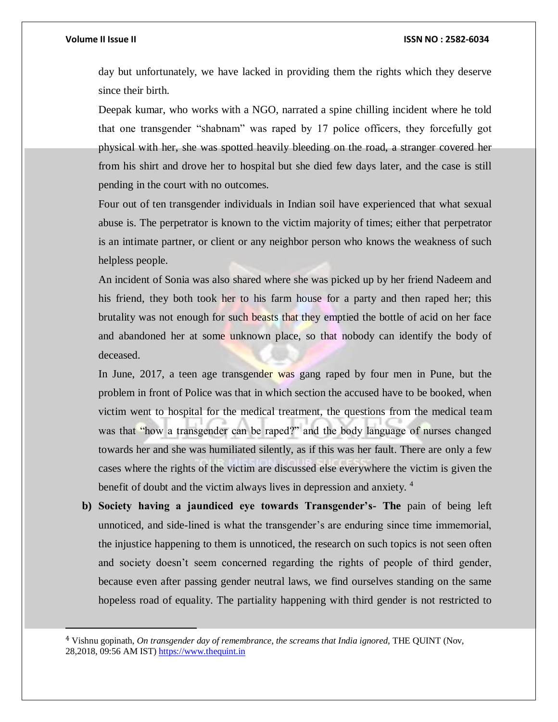### **Volume II Issue II ISSN NO : 2582-6034**

day but unfortunately, we have lacked in providing them the rights which they deserve since their birth.

Deepak kumar, who works with a NGO, narrated a spine chilling incident where he told that one transgender "shabnam" was raped by 17 police officers, they forcefully got physical with her, she was spotted heavily bleeding on the road, a stranger covered her from his shirt and drove her to hospital but she died few days later, and the case is still pending in the court with no outcomes.

Four out of ten transgender individuals in Indian soil have experienced that what sexual abuse is. The perpetrator is known to the victim majority of times; either that perpetrator is an intimate partner, or client or any neighbor person who knows the weakness of such helpless people.

An incident of Sonia was also shared where she was picked up by her friend Nadeem and his friend, they both took her to his farm house for a party and then raped her; this brutality was not enough for such beasts that they emptied the bottle of acid on her face and abandoned her at some unknown place, so that nobody can identify the body of deceased.

In June, 2017, a teen age transgender was gang raped by four men in Pune, but the problem in front of Police was that in which section the accused have to be booked, when victim went to hospital for the medical treatment, the questions from the medical team was that "how a transgender can be raped?" and the body language of nurses changed towards her and she was humiliated silently, as if this was her fault. There are only a few cases where the rights of the victim are discussed else everywhere the victim is given the benefit of doubt and the victim always lives in depression and anxiety. <sup>4</sup>

**b) Society having a jaundiced eye towards Transgender's- The** pain of being left unnoticed, and side-lined is what the transgender's are enduring since time immemorial, the injustice happening to them is unnoticed, the research on such topics is not seen often and society doesn't seem concerned regarding the rights of people of third gender, because even after passing gender neutral laws, we find ourselves standing on the same hopeless road of equality. The partiality happening with third gender is not restricted to

<sup>4</sup> Vishnu gopinath, *On transgender day of remembrance, the screams that India ignored,* THE QUINT (Nov, 28,2018, 09:56 AM IST) [https://www.thequint.in](https://www.thequint.in/)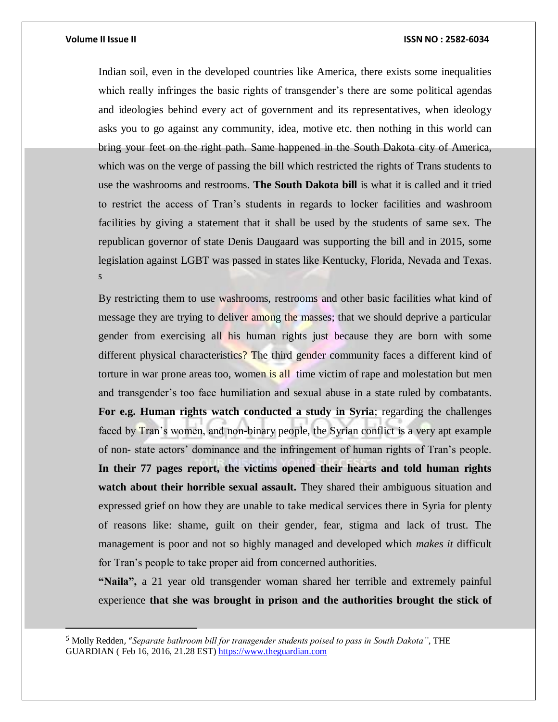Indian soil, even in the developed countries like America, there exists some inequalities which really infringes the basic rights of transgender's there are some political agendas and ideologies behind every act of government and its representatives, when ideology asks you to go against any community, idea, motive etc. then nothing in this world can bring your feet on the right path. Same happened in the South Dakota city of America, which was on the verge of passing the bill which restricted the rights of Trans students to use the washrooms and restrooms. **The South Dakota bill** is what it is called and it tried to restrict the access of Tran's students in regards to locker facilities and washroom facilities by giving a statement that it shall be used by the students of same sex. The republican governor of state Denis Daugaard was supporting the bill and in 2015, some legislation against LGBT was passed in states like Kentucky, Florida, Nevada and Texas. **5**

By restricting them to use washrooms, restrooms and other basic facilities what kind of message they are trying to deliver among the masses; that we should deprive a particular gender from exercising all his human rights just because they are born with some different physical characteristics? The third gender community faces a different kind of torture in war prone areas too, women is all time victim of rape and molestation but men and transgender's too face humiliation and sexual abuse in a state ruled by combatants. **For e.g. Human rights watch conducted a study in Syria**; regarding the challenges faced by Tran's women, and non-binary people, the Syrian conflict is a very apt example of non- state actors' dominance and the infringement of human rights of Tran's people. **In their 77 pages report, the victims opened their hearts and told human rights watch about their horrible sexual assault.** They shared their ambiguous situation and expressed grief on how they are unable to take medical services there in Syria for plenty of reasons like: shame, guilt on their gender, fear, stigma and lack of trust. The management is poor and not so highly managed and developed which *makes it* difficult for Tran's people to take proper aid from concerned authorities.

**"Naila",** a 21 year old transgender woman shared her terrible and extremely painful experience **that she was brought in prison and the authorities brought the stick of** 

<sup>5</sup> Molly Redden, "*Separate bathroom bill for transgender students poised to pass in South Dakota"*, THE GUARDIAN ( Feb 16, 2016, 21.28 EST) [https://www.theguardian.com](https://www.theguardian.com/)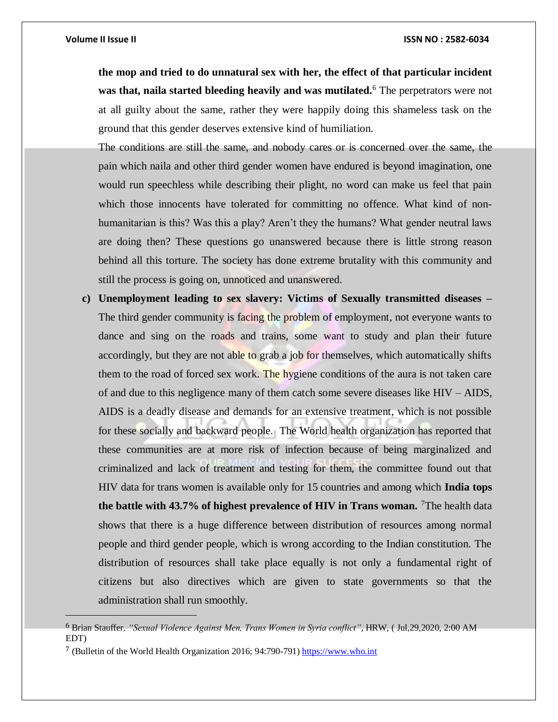$\overline{a}$ 

**the mop and tried to do unnatural sex with her, the effect of that particular incident was that, naila started bleeding heavily and was mutilated.**<sup>6</sup> The perpetrators were not at all guilty about the same, rather they were happily doing this shameless task on the ground that this gender deserves extensive kind of humiliation.

The conditions are still the same, and nobody cares or is concerned over the same, the pain which naila and other third gender women have endured is beyond imagination, one would run speechless while describing their plight, no word can make us feel that pain which those innocents have tolerated for committing no offence. What kind of nonhumanitarian is this? Was this a play? Aren't they the humans? What gender neutral laws are doing then? These questions go unanswered because there is little strong reason behind all this torture. The society has done extreme brutality with this community and still the process is going on, unnoticed and unanswered.

**c) Unemployment leading to sex slavery: Victims of Sexually transmitted diseases –** The third gender community is facing the problem of employment, not everyone wants to dance and sing on the roads and trains, some want to study and plan their future accordingly, but they are not able to grab a job for themselves, which automatically shifts them to the road of forced sex work. The hygiene conditions of the aura is not taken care of and due to this negligence many of them catch some severe diseases like HIV – AIDS, AIDS is a deadly disease and demands for an extensive treatment, which is not possible for these socially and backward people. The World health organization has reported that these communities are at more risk of infection because of being marginalized and criminalized and lack of treatment and testing for them, the committee found out that HIV data for trans women is available only for 15 countries and among which **India tops the battle with 43.7% of highest prevalence of HIV in Trans woman.** <sup>7</sup>The health data shows that there is a huge difference between distribution of resources among normal people and third gender people, which is wrong according to the Indian constitution. The distribution of resources shall take place equally is not only a fundamental right of citizens but also directives which are given to state governments so that the administration shall run smoothly.

<sup>6</sup> Brian Stauffer*, "Sexual Violence Against Men, Trans Women in Syria conflict"*, HRW, ( Jul,29,2020, 2:00 AM EDT)

<sup>7</sup> (Bulletin of the World Health Organization 2016; 94:790-791[\) https://www.who.int](https://www.who.int/)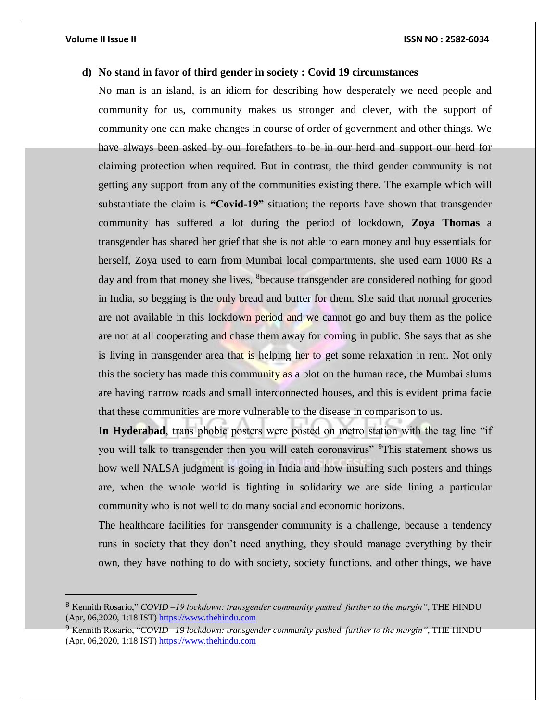### **d) No stand in favor of third gender in society : Covid 19 circumstances**

No man is an island, is an idiom for describing how desperately we need people and community for us, community makes us stronger and clever, with the support of community one can make changes in course of order of government and other things. We have always been asked by our forefathers to be in our herd and support our herd for claiming protection when required. But in contrast, the third gender community is not getting any support from any of the communities existing there. The example which will substantiate the claim is **"Covid-19"** situation; the reports have shown that transgender community has suffered a lot during the period of lockdown, **Zoya Thomas** a transgender has shared her grief that she is not able to earn money and buy essentials for herself, Zoya used to earn from Mumbai local compartments, she used earn 1000 Rs a day and from that money she lives, <sup>8</sup>because transgender are considered nothing for good in India, so begging is the only bread and butter for them. She said that normal groceries are not available in this lockdown period and we cannot go and buy them as the police are not at all cooperating and chase them away for coming in public. She says that as she is living in transgender area that is helping her to get some relaxation in rent. Not only this the society has made this community as a blot on the human race, the Mumbai slums are having narrow roads and small interconnected houses, and this is evident prima facie that these communities are more vulnerable to the disease in comparison to us.

**In Hyderabad**, trans phobic posters were posted on metro station with the tag line "if you will talk to transgender then you will catch coronavirus" <sup>9</sup>This statement shows us how well NALSA judgment is going in India and how insulting such posters and things are, when the whole world is fighting in solidarity we are side lining a particular community who is not well to do many social and economic horizons.

The healthcare facilities for transgender community is a challenge, because a tendency runs in society that they don't need anything, they should manage everything by their own, they have nothing to do with society, society functions, and other things, we have

<sup>8</sup> Kennith Rosario," *COVID –19 lockdown: transgender community pushed further to the margin"*, THE HINDU (Apr, 06,2020, 1:18 IST[\) https://www.thehindu.com](https://www.thehindu.com/)

<sup>9</sup> Kennith Rosario, "*COVID –19 lockdown: transgender community pushed further to the margin"*, THE HINDU (Apr, 06,2020, 1:18 IST[\) https://www.thehindu.com](https://www.thehindu.com/)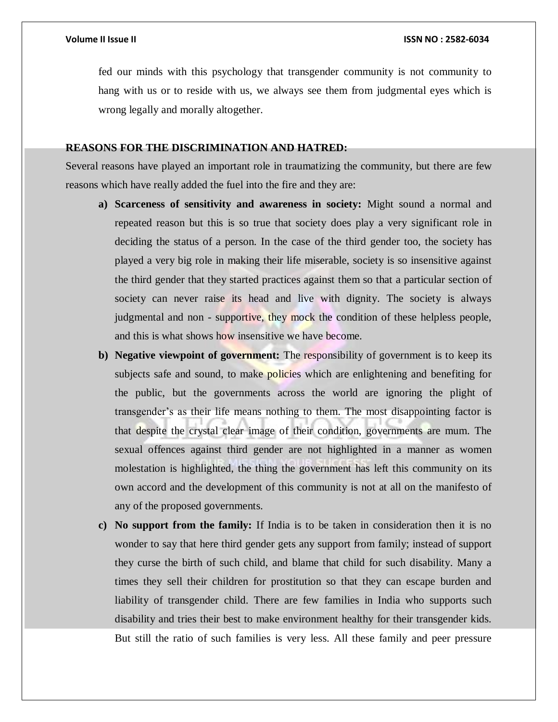fed our minds with this psychology that transgender community is not community to hang with us or to reside with us, we always see them from judgmental eyes which is wrong legally and morally altogether.

### **REASONS FOR THE DISCRIMINATION AND HATRED:**

Several reasons have played an important role in traumatizing the community, but there are few reasons which have really added the fuel into the fire and they are:

- **a) Scarceness of sensitivity and awareness in society:** Might sound a normal and repeated reason but this is so true that society does play a very significant role in deciding the status of a person. In the case of the third gender too, the society has played a very big role in making their life miserable, society is so insensitive against the third gender that they started practices against them so that a particular section of society can never raise its head and live with dignity. The society is always judgmental and non - supportive, they mock the condition of these helpless people, and this is what shows how insensitive we have become.
- **b) Negative viewpoint of government:** The responsibility of government is to keep its subjects safe and sound, to make policies which are enlightening and benefiting for the public, but the governments across the world are ignoring the plight of transgender's as their life means nothing to them. The most disappointing factor is that despite the crystal clear image of their condition, governments are mum. The sexual offences against third gender are not highlighted in a manner as women molestation is highlighted, the thing the government has left this community on its own accord and the development of this community is not at all on the manifesto of any of the proposed governments.
- **c) No support from the family:** If India is to be taken in consideration then it is no wonder to say that here third gender gets any support from family; instead of support they curse the birth of such child, and blame that child for such disability. Many a times they sell their children for prostitution so that they can escape burden and liability of transgender child. There are few families in India who supports such disability and tries their best to make environment healthy for their transgender kids. But still the ratio of such families is very less. All these family and peer pressure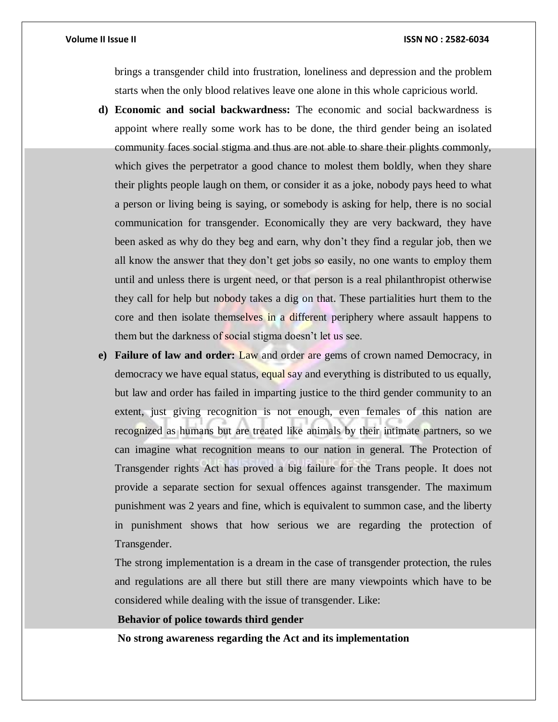brings a transgender child into frustration, loneliness and depression and the problem starts when the only blood relatives leave one alone in this whole capricious world.

- **d) Economic and social backwardness:** The economic and social backwardness is appoint where really some work has to be done, the third gender being an isolated community faces social stigma and thus are not able to share their plights commonly, which gives the perpetrator a good chance to molest them boldly, when they share their plights people laugh on them, or consider it as a joke, nobody pays heed to what a person or living being is saying, or somebody is asking for help, there is no social communication for transgender. Economically they are very backward, they have been asked as why do they beg and earn, why don't they find a regular job, then we all know the answer that they don't get jobs so easily, no one wants to employ them until and unless there is urgent need, or that person is a real philanthropist otherwise they call for help but nobody takes a dig on that. These partialities hurt them to the core and then isolate themselves in a different periphery where assault happens to them but the darkness of social stigma doesn't let us see.
- **e) Failure of law and order:** Law and order are gems of crown named Democracy, in democracy we have equal status, equal say and everything is distributed to us equally, but law and order has failed in imparting justice to the third gender community to an extent, just giving recognition is not enough, even females of this nation are recognized as humans but are treated like animals by their intimate partners, so we can imagine what recognition means to our nation in general. The Protection of Transgender rights Act has proved a big failure for the Trans people. It does not provide a separate section for sexual offences against transgender. The maximum punishment was 2 years and fine, which is equivalent to summon case, and the liberty in punishment shows that how serious we are regarding the protection of Transgender.

The strong implementation is a dream in the case of transgender protection, the rules and regulations are all there but still there are many viewpoints which have to be considered while dealing with the issue of transgender. Like:

**Behavior of police towards third gender**

**No strong awareness regarding the Act and its implementation**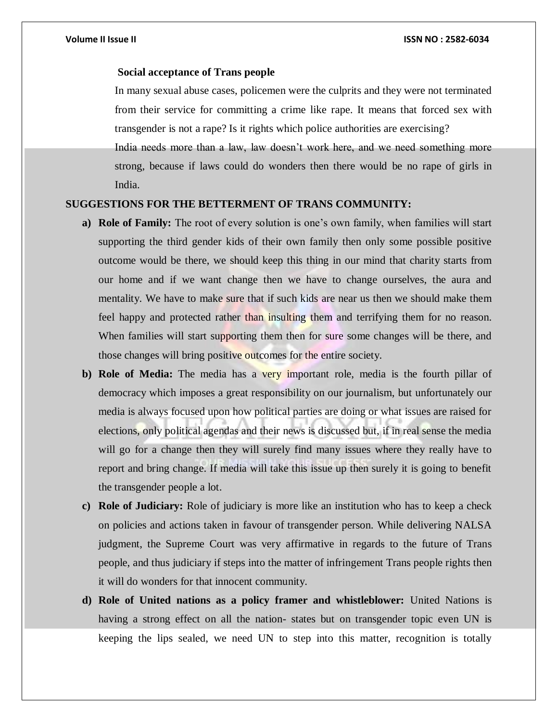### **Social acceptance of Trans people**

In many sexual abuse cases, policemen were the culprits and they were not terminated from their service for committing a crime like rape. It means that forced sex with transgender is not a rape? Is it rights which police authorities are exercising?

India needs more than a law, law doesn't work here, and we need something more strong, because if laws could do wonders then there would be no rape of girls in India.

### **SUGGESTIONS FOR THE BETTERMENT OF TRANS COMMUNITY:**

- **a) Role of Family:** The root of every solution is one's own family, when families will start supporting the third gender kids of their own family then only some possible positive outcome would be there, we should keep this thing in our mind that charity starts from our home and if we want change then we have to change ourselves, the aura and mentality. We have to make sure that if such kids are near us then we should make them feel happy and protected rather than insulting them and terrifying them for no reason. When families will start supporting them then for sure some changes will be there, and those changes will bring positive outcomes for the entire society.
- **b) Role of Media:** The media has a very important role, media is the fourth pillar of democracy which imposes a great responsibility on our journalism, but unfortunately our media is always focused upon how political parties are doing or what issues are raised for elections, only political agendas and their news is discussed but, if in real sense the media will go for a change then they will surely find many issues where they really have to report and bring change. If media will take this issue up then surely it is going to benefit the transgender people a lot.
- **c) Role of Judiciary:** Role of judiciary is more like an institution who has to keep a check on policies and actions taken in favour of transgender person. While delivering NALSA judgment, the Supreme Court was very affirmative in regards to the future of Trans people, and thus judiciary if steps into the matter of infringement Trans people rights then it will do wonders for that innocent community.
- **d) Role of United nations as a policy framer and whistleblower:** United Nations is having a strong effect on all the nation- states but on transgender topic even UN is keeping the lips sealed, we need UN to step into this matter, recognition is totally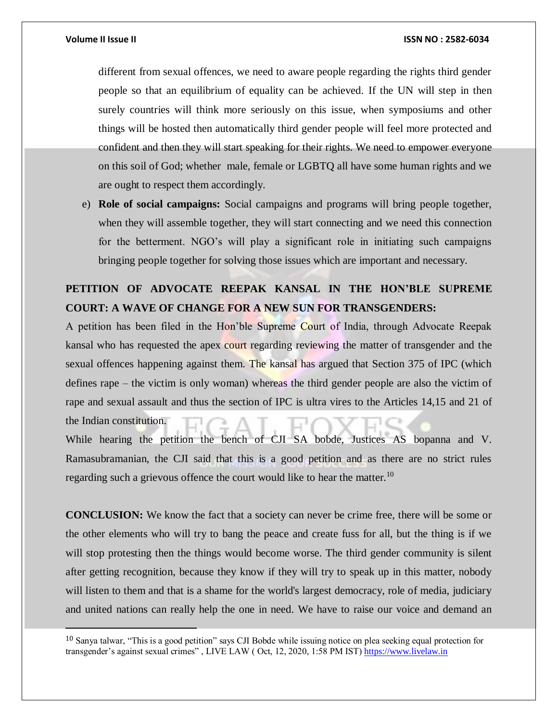different from sexual offences, we need to aware people regarding the rights third gender people so that an equilibrium of equality can be achieved. If the UN will step in then surely countries will think more seriously on this issue, when symposiums and other things will be hosted then automatically third gender people will feel more protected and confident and then they will start speaking for their rights. We need to empower everyone on this soil of God; whether male, female or LGBTQ all have some human rights and we are ought to respect them accordingly.

e) **Role of social campaigns:** Social campaigns and programs will bring people together, when they will assemble together, they will start connecting and we need this connection for the betterment. NGO's will play a significant role in initiating such campaigns bringing people together for solving those issues which are important and necessary.

## **PETITION OF ADVOCATE REEPAK KANSAL IN THE HON'BLE SUPREME COURT: A WAVE OF CHANGE FOR A NEW SUN FOR TRANSGENDERS:**

A petition has been filed in the Hon'ble Supreme Court of India, through Advocate Reepak kansal who has requested the apex court regarding reviewing the matter of transgender and the sexual offences happening against them. The kansal has argued that Section 375 of IPC (which defines rape – the victim is only woman) whereas the third gender people are also the victim of rape and sexual assault and thus the section of IPC is ultra vires to the Articles 14,15 and 21 of the Indian constitution.

While hearing the petition the bench of CJI SA bobde, Justices AS bopanna and V. Ramasubramanian, the CJI said that this is a good petition and as there are no strict rules regarding such a grievous offence the court would like to hear the matter.<sup>10</sup>

**CONCLUSION:** We know the fact that a society can never be crime free, there will be some or the other elements who will try to bang the peace and create fuss for all, but the thing is if we will stop protesting then the things would become worse. The third gender community is silent after getting recognition, because they know if they will try to speak up in this matter, nobody will listen to them and that is a shame for the world's largest democracy, role of media, judiciary and united nations can really help the one in need. We have to raise our voice and demand an

<sup>10</sup> Sanya talwar, "This is a good petition" says CJI Bobde while issuing notice on plea seeking equal protection for transgender's against sexual crimes" , LIVE LAW ( Oct, 12, 2020, 1:58 PM IST[\) https://www.livelaw.in](https://www.livelaw.in/)